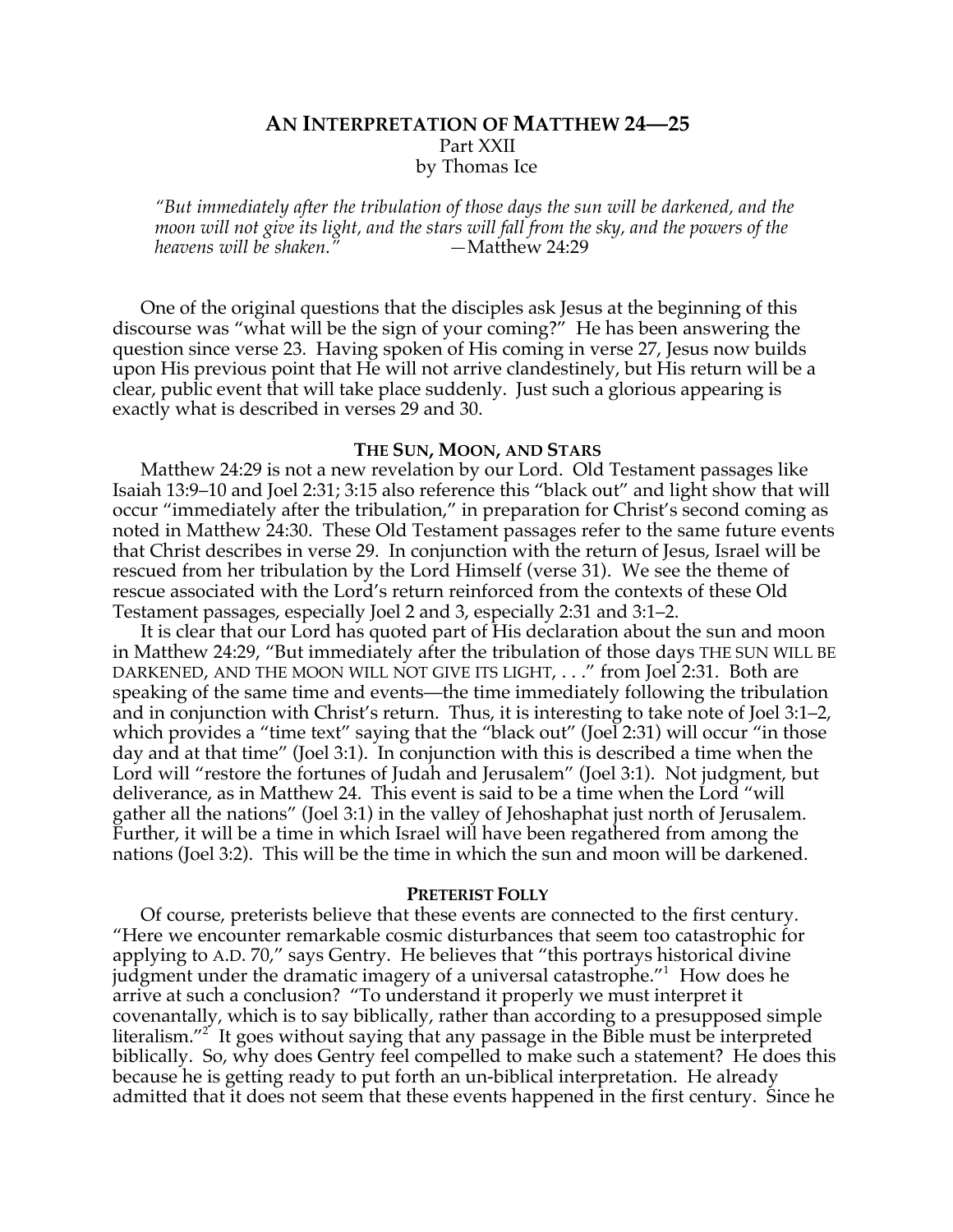# **AN INTERPRETATION OF MATTHEW 24—25** Part XXII by Thomas Ice

*"But immediately after the tribulation of those days the sun will be darkened, and the moon will not give its light, and the stars will fall from the sky, and the powers of the heavens will be shaken.* 

One of the original questions that the disciples ask Jesus at the beginning of this discourse was "what will be the sign of your coming?" He has been answering the question since verse 23. Having spoken of His coming in verse 27, Jesus now builds upon His previous point that He will not arrive clandestinely, but His return will be a clear, public event that will take place suddenly. Just such a glorious appearing is exactly what is described in verses 29 and 30.

#### **THE SUN, MOON, AND STARS**

Matthew 24:29 is not a new revelation by our Lord. Old Testament passages like Isaiah 13:9–10 and Joel 2:31; 3:15 also reference this "black out" and light show that will occur "immediately after the tribulation," in preparation for Christ's second coming as noted in Matthew 24:30. These Old Testament passages refer to the same future events that Christ describes in verse 29. In conjunction with the return of Jesus, Israel will be rescued from her tribulation by the Lord Himself (verse 31). We see the theme of rescue associated with the Lord's return reinforced from the contexts of these Old Testament passages, especially Joel 2 and 3, especially 2:31 and 3:1–2.

It is clear that our Lord has quoted part of His declaration about the sun and moon in Matthew 24:29, "But immediately after the tribulation of those days THE SUN WILL BE DARKENED, AND THE MOON WILL NOT GIVE ITS LIGHT, . . ." from Joel 2:31. Both are speaking of the same time and events—the time immediately following the tribulation and in conjunction with Christ's return. Thus, it is interesting to take note of Joel 3:1–2, which provides a "time text" saying that the "black out" (Joel 2:31) will occur "in those day and at that time" (Joel 3:1). In conjunction with this is described a time when the Lord will "restore the fortunes of Judah and Jerusalem" (Joel 3:1). Not judgment, but deliverance, as in Matthew 24. This event is said to be a time when the Lord "will gather all the nations" (Joel 3:1) in the valley of Jehoshaphat just north of Jerusalem. Further, it will be a time in which Israel will have been regathered from among the nations (Joel 3:2). This will be the time in which the sun and moon will be darkened.

#### **PRETERIST FOLLY**

Of course, preterists believe that these events are connected to the first century. "Here we encounter remarkable cosmic disturbances that seem too catastrophic for applying to A.D. 70," says Gentry. He believes that "this portrays historical divine judgment under the dramatic imagery of a universal catastrophe."<sup>1</sup> How does he arrive at such a conclusion? "To understand it properly we must interpret it covenantally, which is to say biblically, rather than according to a presupposed simple literalism."<sup>2</sup> It goes without saying that any passage in the Bible must be interpreted biblically. So, why does Gentry feel compelled to make such a statement? He does this because he is getting ready to put forth an un-biblical interpretation. He already admitted that it does not seem that these events happened in the first century. Since he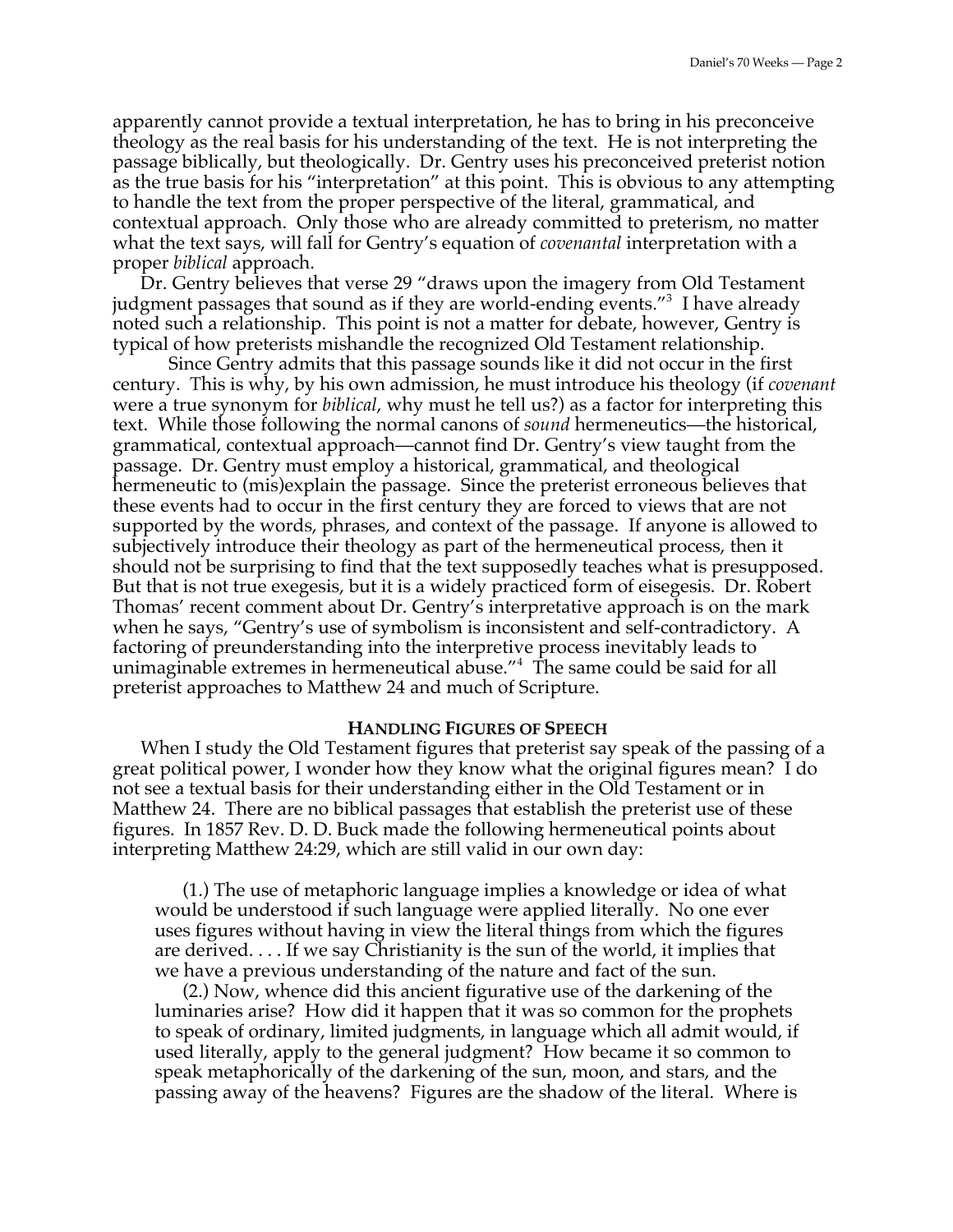apparently cannot provide a textual interpretation, he has to bring in his preconceive theology as the real basis for his understanding of the text. He is not interpreting the passage biblically, but theologically. Dr. Gentry uses his preconceived preterist notion as the true basis for his "interpretation" at this point. This is obvious to any attempting to handle the text from the proper perspective of the literal, grammatical, and contextual approach. Only those who are already committed to preterism, no matter what the text says, will fall for Gentry's equation of *covenantal* interpretation with a proper *biblical* approach.

Dr. Gentry believes that verse 29 "draws upon the imagery from Old Testament judgment passages that sound as if they are world-ending events."<sup>3</sup> I have already noted such a relationship. This point is not a matter for debate, however, Gentry is typical of how preterists mishandle the recognized Old Testament relationship.

Since Gentry admits that this passage sounds like it did not occur in the first century. This is why, by his own admission, he must introduce his theology (if *covenant* were a true synonym for *biblical*, why must he tell us?) as a factor for interpreting this text. While those following the normal canons of *sound* hermeneutics—the historical, grammatical, contextual approach—cannot find Dr. Gentry's view taught from the passage. Dr. Gentry must employ a historical, grammatical, and theological hermeneutic to (mis)explain the passage. Since the preterist erroneous believes that these events had to occur in the first century they are forced to views that are not supported by the words, phrases, and context of the passage. If anyone is allowed to subjectively introduce their theology as part of the hermeneutical process, then it should not be surprising to find that the text supposedly teaches what is presupposed. But that is not true exegesis, but it is a widely practiced form of eisegesis. Dr. Robert Thomas' recent comment about Dr. Gentry's interpretative approach is on the mark when he says, "Gentry's use of symbolism is inconsistent and self-contradictory. A factoring of preunderstanding into the interpretive process inevitably leads to unimaginable extremes in hermeneutical abuse."<sup>4</sup> The same could be said for all preterist approaches to Matthew 24 and much of Scripture.

### **HANDLING FIGURES OF SPEECH**

When I study the Old Testament figures that preterist say speak of the passing of a great political power, I wonder how they know what the original figures mean? I do not see a textual basis for their understanding either in the Old Testament or in Matthew 24. There are no biblical passages that establish the preterist use of these figures. In 1857 Rev. D. D. Buck made the following hermeneutical points about interpreting Matthew 24:29, which are still valid in our own day:

(1.) The use of metaphoric language implies a knowledge or idea of what would be understood if such language were applied literally. No one ever uses figures without having in view the literal things from which the figures are derived. . . . If we say Christianity is the sun of the world, it implies that we have a previous understanding of the nature and fact of the sun.

(2.) Now, whence did this ancient figurative use of the darkening of the luminaries arise? How did it happen that it was so common for the prophets to speak of ordinary, limited judgments, in language which all admit would, if used literally, apply to the general judgment? How became it so common to speak metaphorically of the darkening of the sun, moon, and stars, and the passing away of the heavens? Figures are the shadow of the literal. Where is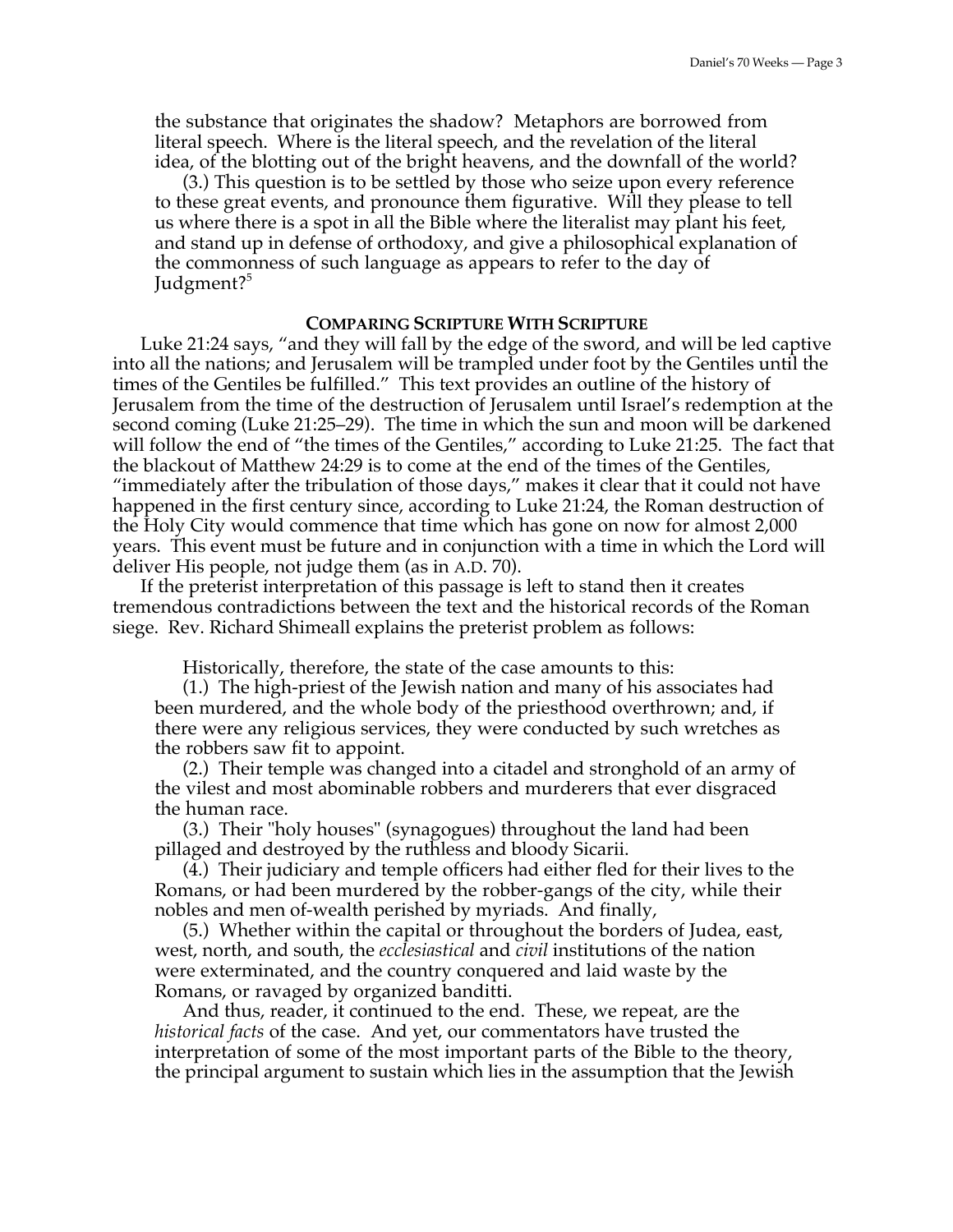the substance that originates the shadow? Metaphors are borrowed from literal speech. Where is the literal speech, and the revelation of the literal idea, of the blotting out of the bright heavens, and the downfall of the world?

(3.) This question is to be settled by those who seize upon every reference to these great events, and pronounce them figurative. Will they please to tell us where there is a spot in all the Bible where the literalist may plant his feet, and stand up in defense of orthodoxy, and give a philosophical explanation of the commonness of such language as appears to refer to the day of Judgment?<sup>5</sup>

### **COMPARING SCRIPTURE WITH SCRIPTURE**

Luke 21:24 says, "and they will fall by the edge of the sword, and will be led captive into all the nations; and Jerusalem will be trampled under foot by the Gentiles until the times of the Gentiles be fulfilled." This text provides an outline of the history of Jerusalem from the time of the destruction of Jerusalem until Israel's redemption at the second coming (Luke 21:25–29). The time in which the sun and moon will be darkened will follow the end of "the times of the Gentiles," according to Luke 21:25. The fact that the blackout of Matthew 24:29 is to come at the end of the times of the Gentiles, "immediately after the tribulation of those days," makes it clear that it could not have happened in the first century since, according to Luke 21:24, the Roman destruction of the Holy City would commence that time which has gone on now for almost 2,000 years. This event must be future and in conjunction with a time in which the Lord will deliver His people, not judge them (as in A.D. 70).

If the preterist interpretation of this passage is left to stand then it creates tremendous contradictions between the text and the historical records of the Roman siege. Rev. Richard Shimeall explains the preterist problem as follows:

Historically, therefore, the state of the case amounts to this:

(1.) The high-priest of the Jewish nation and many of his associates had been murdered, and the whole body of the priesthood overthrown; and, if there were any religious services, they were conducted by such wretches as the robbers saw fit to appoint.

(2.) Their temple was changed into a citadel and stronghold of an army of the vilest and most abominable robbers and murderers that ever disgraced the human race.

(3.) Their "holy houses" (synagogues) throughout the land had been pillaged and destroyed by the ruthless and bloody Sicarii.

(4.) Their judiciary and temple officers had either fled for their lives to the Romans, or had been murdered by the robber-gangs of the city, while their nobles and men of-wealth perished by myriads. And finally,

(5.) Whether within the capital or throughout the borders of Judea, east, west, north, and south, the *ecclesiastical* and *civil* institutions of the nation were exterminated, and the country conquered and laid waste by the Romans, or ravaged by organized banditti.

And thus, reader, it continued to the end. These, we repeat, are the *historical facts* of the case. And yet, our commentators have trusted the interpretation of some of the most important parts of the Bible to the theory, the principal argument to sustain which lies in the assumption that the Jewish